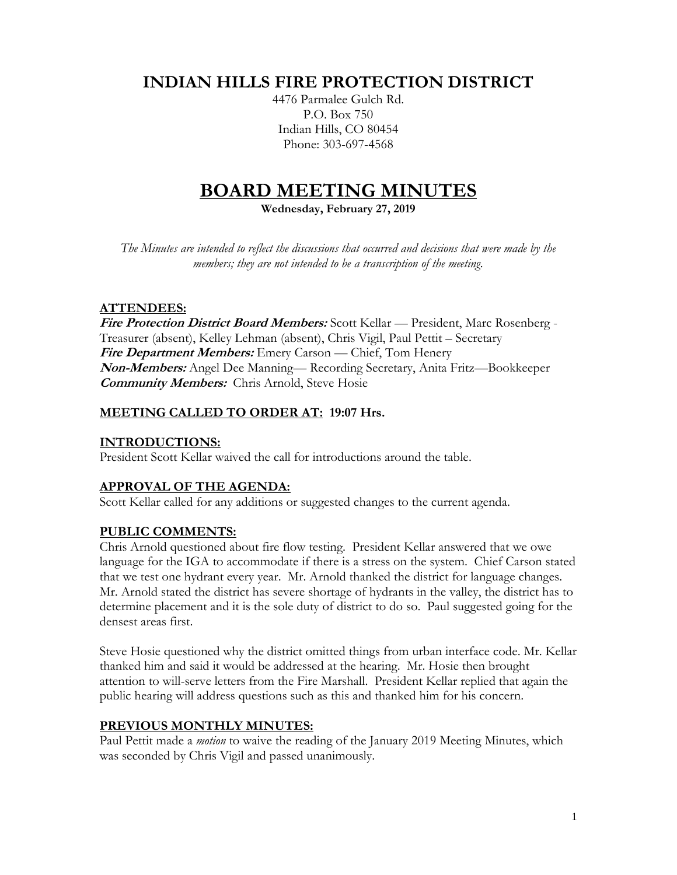## **INDIAN HILLS FIRE PROTECTION DISTRICT**

4476 Parmalee Gulch Rd. P.O. Box 750 Indian Hills, CO 80454 Phone: 303-697-4568

# **BOARD MEETING MINUTES**

**Wednesday, February 27, 2019**

*The Minutes are intended to reflect the discussions that occurred and decisions that were made by the members; they are not intended to be a transcription of the meeting.*

## **ATTENDEES:**

**Fire Protection District Board Members:** Scott Kellar — President, Marc Rosenberg - Treasurer (absent), Kelley Lehman (absent), Chris Vigil, Paul Pettit – Secretary **Fire Department Members:** Emery Carson — Chief, Tom Henery **Non-Members:** Angel Dee Manning— Recording Secretary, Anita Fritz—Bookkeeper **Community Members:** Chris Arnold, Steve Hosie

## **MEETING CALLED TO ORDER AT: 19:07 Hrs.**

## **INTRODUCTIONS:**

President Scott Kellar waived the call for introductions around the table.

## **APPROVAL OF THE AGENDA:**

Scott Kellar called for any additions or suggested changes to the current agenda.

## **PUBLIC COMMENTS:**

Chris Arnold questioned about fire flow testing. President Kellar answered that we owe language for the IGA to accommodate if there is a stress on the system. Chief Carson stated that we test one hydrant every year. Mr. Arnold thanked the district for language changes. Mr. Arnold stated the district has severe shortage of hydrants in the valley, the district has to determine placement and it is the sole duty of district to do so. Paul suggested going for the densest areas first.

Steve Hosie questioned why the district omitted things from urban interface code. Mr. Kellar thanked him and said it would be addressed at the hearing. Mr. Hosie then brought attention to will-serve letters from the Fire Marshall. President Kellar replied that again the public hearing will address questions such as this and thanked him for his concern.

## **PREVIOUS MONTHLY MINUTES:**

Paul Pettit made a *motion* to waive the reading of the January 2019 Meeting Minutes, which was seconded by Chris Vigil and passed unanimously.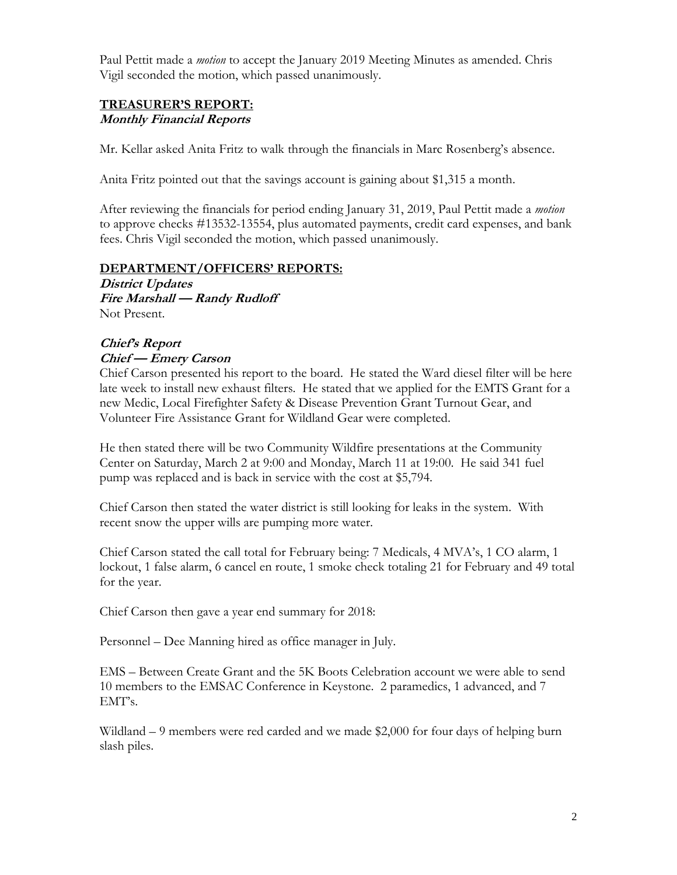Paul Pettit made a *motion* to accept the January 2019 Meeting Minutes as amended. Chris Vigil seconded the motion, which passed unanimously.

#### **TREASURER'S REPORT: Monthly Financial Reports**

Mr. Kellar asked Anita Fritz to walk through the financials in Marc Rosenberg's absence.

Anita Fritz pointed out that the savings account is gaining about \$1,315 a month.

After reviewing the financials for period ending January 31, 2019, Paul Pettit made a *motion* to approve checks #13532-13554, plus automated payments, credit card expenses, and bank fees. Chris Vigil seconded the motion, which passed unanimously.

#### **DEPARTMENT/OFFICERS' REPORTS:**

**District Updates Fire Marshall — Randy Rudloff** Not Present.

### **Chief's Report Chief — Emery Carson**

Chief Carson presented his report to the board. He stated the Ward diesel filter will be here late week to install new exhaust filters. He stated that we applied for the EMTS Grant for a new Medic, Local Firefighter Safety & Disease Prevention Grant Turnout Gear, and Volunteer Fire Assistance Grant for Wildland Gear were completed.

He then stated there will be two Community Wildfire presentations at the Community Center on Saturday, March 2 at 9:00 and Monday, March 11 at 19:00. He said 341 fuel pump was replaced and is back in service with the cost at \$5,794.

Chief Carson then stated the water district is still looking for leaks in the system. With recent snow the upper wills are pumping more water.

Chief Carson stated the call total for February being: 7 Medicals, 4 MVA's, 1 CO alarm, 1 lockout, 1 false alarm, 6 cancel en route, 1 smoke check totaling 21 for February and 49 total for the year.

Chief Carson then gave a year end summary for 2018:

Personnel – Dee Manning hired as office manager in July.

EMS – Between Create Grant and the 5K Boots Celebration account we were able to send 10 members to the EMSAC Conference in Keystone. 2 paramedics, 1 advanced, and 7 EMT's.

Wildland – 9 members were red carded and we made \$2,000 for four days of helping burn slash piles.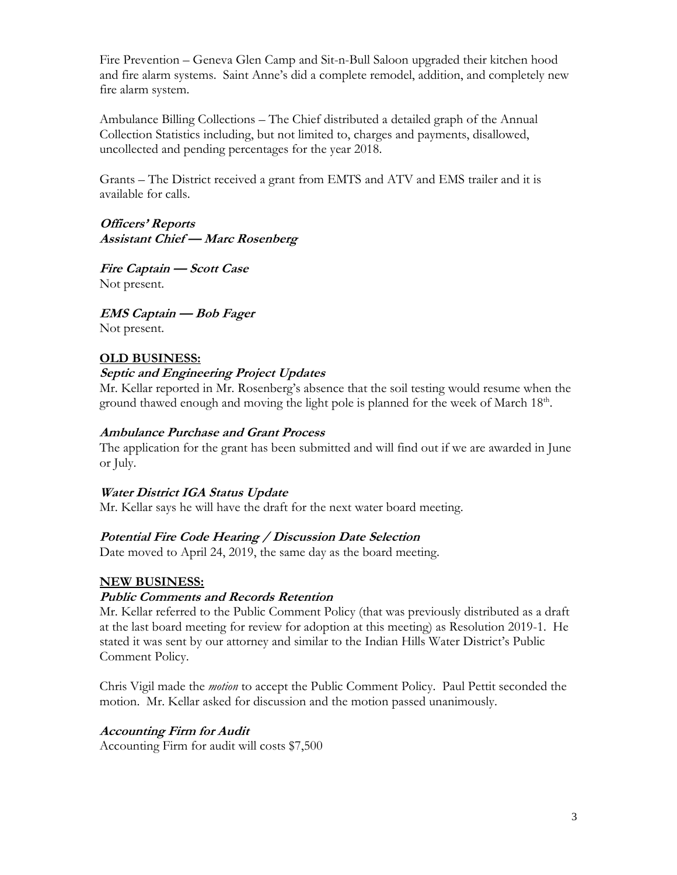Fire Prevention – Geneva Glen Camp and Sit-n-Bull Saloon upgraded their kitchen hood and fire alarm systems. Saint Anne's did a complete remodel, addition, and completely new fire alarm system.

Ambulance Billing Collections – The Chief distributed a detailed graph of the Annual Collection Statistics including, but not limited to, charges and payments, disallowed, uncollected and pending percentages for the year 2018.

Grants – The District received a grant from EMTS and ATV and EMS trailer and it is available for calls.

**Officers' Reports Assistant Chief — Marc Rosenberg**

**Fire Captain — Scott Case**  Not present.

**EMS Captain — Bob Fager** Not present.

# **OLD BUSINESS:**

### **Septic and Engineering Project Updates**

Mr. Kellar reported in Mr. Rosenberg's absence that the soil testing would resume when the ground thawed enough and moving the light pole is planned for the week of March  $18<sup>th</sup>$ .

## **Ambulance Purchase and Grant Process**

The application for the grant has been submitted and will find out if we are awarded in June or July.

## **Water District IGA Status Update**

Mr. Kellar says he will have the draft for the next water board meeting.

## **Potential Fire Code Hearing / Discussion Date Selection**

Date moved to April 24, 2019, the same day as the board meeting.

## **NEW BUSINESS:**

## **Public Comments and Records Retention**

Mr. Kellar referred to the Public Comment Policy (that was previously distributed as a draft at the last board meeting for review for adoption at this meeting) as Resolution 2019-1. He stated it was sent by our attorney and similar to the Indian Hills Water District's Public Comment Policy.

Chris Vigil made the *motion* to accept the Public Comment Policy. Paul Pettit seconded the motion. Mr. Kellar asked for discussion and the motion passed unanimously.

## **Accounting Firm for Audit**

Accounting Firm for audit will costs \$7,500